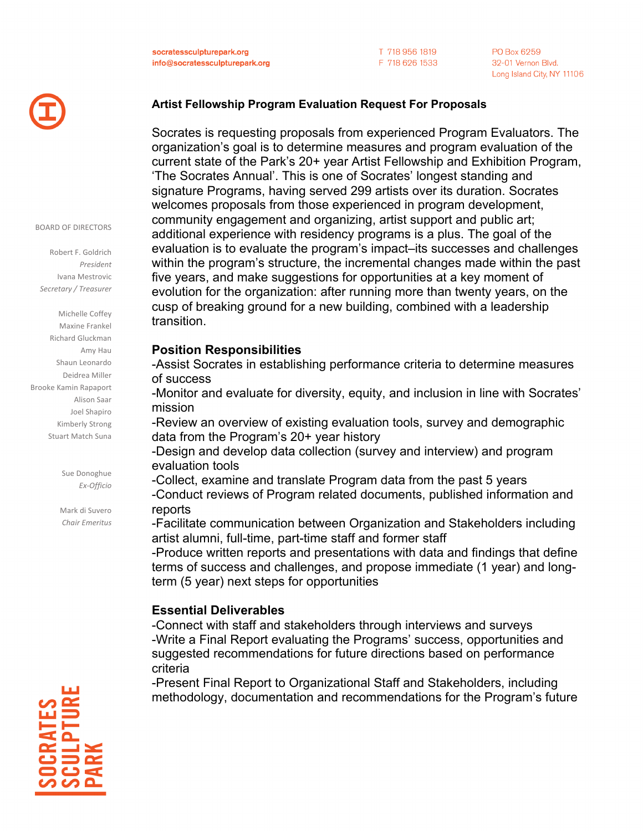T 718 956 1819 F 718 626 1533 PO Box 6259 32-01 Vernon Blvd. Long Island City, NY 11106



## **Artist Fellowship Program Evaluation Request For Proposals**

Socrates is requesting proposals from experienced Program Evaluators. The organization's goal is to determine measures and program evaluation of the current state of the Park's 20+ year Artist Fellowship and Exhibition Program, 'The Socrates Annual'. This is one of Socrates' longest standing and signature Programs, having served 299 artists over its duration. Socrates welcomes proposals from those experienced in program development, community engagement and organizing, artist support and public art; additional experience with residency programs is a plus. The goal of the evaluation is to evaluate the program's impact–its successes and challenges within the program's structure, the incremental changes made within the past five years, and make suggestions for opportunities at a key moment of evolution for the organization: after running more than twenty years, on the cusp of breaking ground for a new building, combined with a leadership transition.

#### **Position Responsibilities**

-Assist Socrates in establishing performance criteria to determine measures of success

-Monitor and evaluate for diversity, equity, and inclusion in line with Socrates' mission

-Review an overview of existing evaluation tools, survey and demographic data from the Program's 20+ year history

-Design and develop data collection (survey and interview) and program evaluation tools

-Collect, examine and translate Program data from the past 5 years -Conduct reviews of Program related documents, published information and reports

-Facilitate communication between Organization and Stakeholders including artist alumni, full-time, part-time staff and former staff

-Produce written reports and presentations with data and findings that define terms of success and challenges, and propose immediate (1 year) and longterm (5 year) next steps for opportunities

### **Essential Deliverables**

-Connect with staff and stakeholders through interviews and surveys -Write a Final Report evaluating the Programs' success, opportunities and suggested recommendations for future directions based on performance criteria

-Present Final Report to Organizational Staff and Stakeholders, including methodology, documentation and recommendations for the Program's future



BOARD OF DIRECTORS

Robert F. Goldrich *President* Ivana Mestrovic *Secretary / Treasurer*

Michelle Coffey Maxine Frankel Richard Gluckman Amy Hau Shaun Leonardo Deidrea Miller Brooke Kamin Rapaport Alison Saar Joel Shapiro Kimberly Strong Stuart Match Suna

> Sue Donoghue *Ex-Officio*

Mark di Suvero *Chair Emeritus*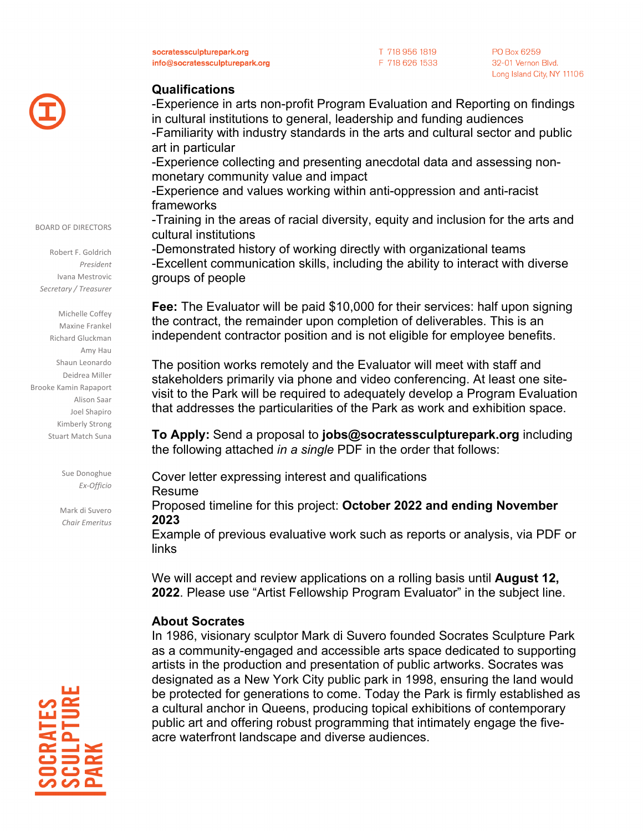socratessculpturepark.org info@socratessculpturepark.org T 718 956 1819 F 718 626 1533 PO Box 6259 32-01 Vernon Blvd. Long Island City, NY 11106



## **Qualifications**

-Experience in arts non-profit Program Evaluation and Reporting on findings in cultural institutions to general, leadership and funding audiences -Familiarity with industry standards in the arts and cultural sector and public art in particular -Experience collecting and presenting anecdotal data and assessing nonmonetary community value and impact -Experience and values working within anti-oppression and anti-racist frameworks -Training in the areas of racial diversity, equity and inclusion for the arts and cultural institutions -Demonstrated history of working directly with organizational teams

-Excellent communication skills, including the ability to interact with diverse groups of people

**Fee:** The Evaluator will be paid \$10,000 for their services: half upon signing the contract, the remainder upon completion of deliverables. This is an independent contractor position and is not eligible for employee benefits.

The position works remotely and the Evaluator will meet with staff and stakeholders primarily via phone and video conferencing. At least one sitevisit to the Park will be required to adequately develop a Program Evaluation that addresses the particularities of the Park as work and exhibition space.

**To Apply:** Send a proposal to **jobs@socratessculpturepark.org** including the following attached *in a single* PDF in the order that follows:

Cover letter expressing interest and qualifications

Resume

Proposed timeline for this project: **October 2022 and ending November 2023** 

Example of previous evaluative work such as reports or analysis, via PDF or links

We will accept and review applications on a rolling basis until **August 12, 2022**. Please use "Artist Fellowship Program Evaluator" in the subject line.

# **About Socrates**

In 1986, visionary sculptor Mark di Suvero founded Socrates Sculpture Park as a community-engaged and accessible arts space dedicated to supporting artists in the production and presentation of public artworks. Socrates was designated as a New York City public park in 1998, ensuring the land would be protected for generations to come. Today the Park is firmly established as a cultural anchor in Queens, producing topical exhibitions of contemporary public art and offering robust programming that intimately engage the fiveacre waterfront landscape and diverse audiences.



BOARD OF DIRECTORS

Robert F. Goldrich *President* Ivana Mestrovic *Secretary / Treasurer*

Michelle Coffey Maxine Frankel Richard Gluckman Amy Hau Shaun Leonardo Deidrea Miller Brooke Kamin Rapaport Alison Saar Joel Shapiro Kimberly Strong Stuart Match Suna

> Sue Donoghue *Ex-Officio*

Mark di Suvero *Chair Emeritus*